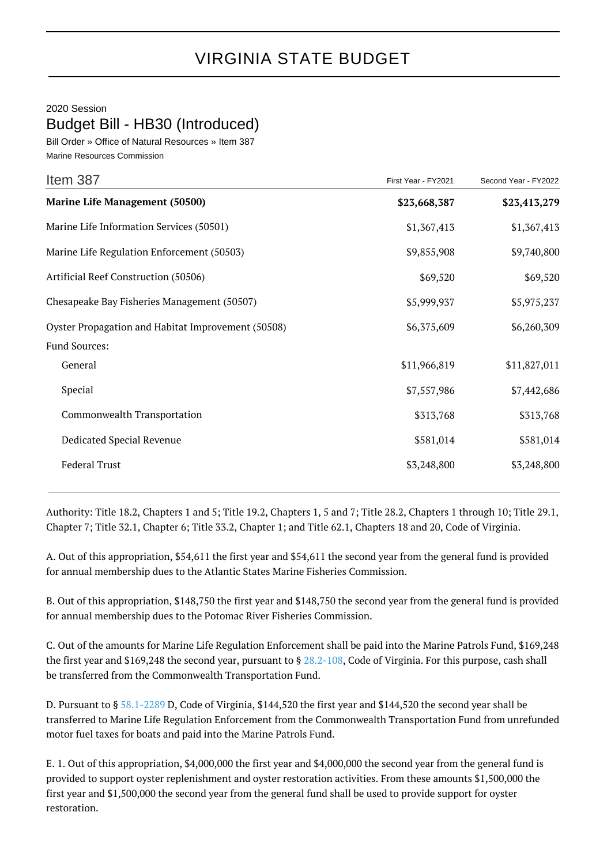## VIRGINIA STATE BUDGET

2020 Session

Budget Bill - HB30 (Introduced)

Bill Order » Office of Natural Resources » Item 387 Marine Resources Commission

| Item 387                                           | First Year - FY2021 | Second Year - FY2022 |
|----------------------------------------------------|---------------------|----------------------|
| <b>Marine Life Management (50500)</b>              | \$23,668,387        | \$23,413,279         |
| Marine Life Information Services (50501)           | \$1,367,413         | \$1,367,413          |
| Marine Life Regulation Enforcement (50503)         | \$9,855,908         | \$9,740,800          |
| Artificial Reef Construction (50506)               | \$69,520            | \$69,520             |
| Chesapeake Bay Fisheries Management (50507)        | \$5,999,937         | \$5,975,237          |
| Oyster Propagation and Habitat Improvement (50508) | \$6,375,609         | \$6,260,309          |
| Fund Sources:                                      |                     |                      |
| General                                            | \$11,966,819        | \$11,827,011         |
| Special                                            | \$7,557,986         | \$7,442,686          |
| Commonwealth Transportation                        | \$313,768           | \$313,768            |
| Dedicated Special Revenue                          | \$581,014           | \$581,014            |
| <b>Federal Trust</b>                               | \$3,248,800         | \$3,248,800          |
|                                                    |                     |                      |

Authority: Title 18.2, Chapters 1 and 5; Title 19.2, Chapters 1, 5 and 7; Title 28.2, Chapters 1 through 10; Title 29.1, Chapter 7; Title 32.1, Chapter 6; Title 33.2, Chapter 1; and Title 62.1, Chapters 18 and 20, Code of Virginia.

A. Out of this appropriation, \$54,611 the first year and \$54,611 the second year from the general fund is provided for annual membership dues to the Atlantic States Marine Fisheries Commission.

B. Out of this appropriation, \$148,750 the first year and \$148,750 the second year from the general fund is provided for annual membership dues to the Potomac River Fisheries Commission.

C. Out of the amounts for Marine Life Regulation Enforcement shall be paid into the Marine Patrols Fund, \$169,248 the first year and \$169,248 the second year, pursuant to § [28.2-108,](http://law.lis.virginia.gov/vacode/28.2-108/) Code of Virginia. For this purpose, cash shall be transferred from the Commonwealth Transportation Fund.

D. Pursuant to § [58.1-2289](http://law.lis.virginia.gov/vacode/58.1-2289/) D, Code of Virginia, \$144,520 the first year and \$144,520 the second year shall be transferred to Marine Life Regulation Enforcement from the Commonwealth Transportation Fund from unrefunded motor fuel taxes for boats and paid into the Marine Patrols Fund.

E. 1. Out of this appropriation, \$4,000,000 the first year and \$4,000,000 the second year from the general fund is provided to support oyster replenishment and oyster restoration activities. From these amounts \$1,500,000 the first year and \$1,500,000 the second year from the general fund shall be used to provide support for oyster restoration.